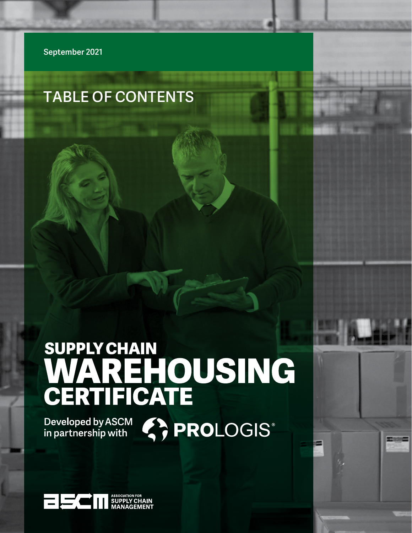**September 2021**

# **TABLE OF CONTENTS**

# SUPPLY CHAIN<br>WAREHOUSING<br>CERTIFICATE

Developed by ASCM (C) PROLOGIS®

Supply Chain Warehousing Certificate | **1**

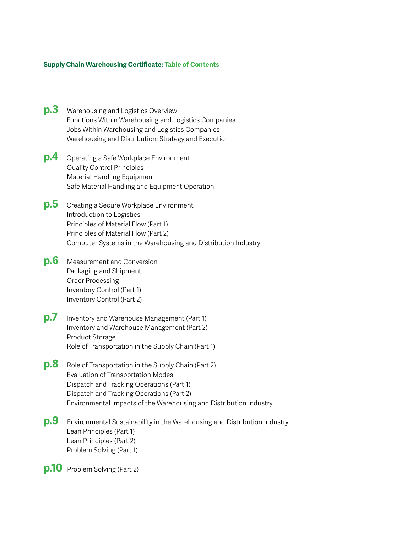# **Supply Chain Warehousing Certificate: Table of Contents**

- **p.3** [Warehousing and Logistics Overview](#page-2-0)  [Functions Within Warehousing and Logistics Companies](#page-2-0)  [Jobs Within Warehousing and Logistics Companies](#page-2-0)  [Warehousing and Distribution: Strategy and Execution](#page-2-0)
- **p.4** [Operating a Safe Workplace Environment](#page-3-0)  [Quality Control Principles](#page-3-0)  [Material Handling Equipment](#page-3-0)  [Safe Material Handling and Equipment Operation](#page-3-0)
- **p.5** [Creating a Secure Workplace Environment](#page-4-0)  [Introduction to Logistics](#page-4-0)  [Principles of Material Flow \(Part 1\)](#page-4-0)  [Principles of Material Flow \(Part 2\)](#page-4-0)  [Computer Systems in the Warehousing and Distribution Industry](#page-4-0)
- **p.6** [Measurement and Conversion](#page-5-0)  [Packaging and Shipment](#page-5-0)  [Order Processing](#page-5-0)  [Inventory Control \(Part 1\)](#page-5-0)  [Inventory Control \(Part 2\)](#page-5-0)
- **p.7** [Inventory and Warehouse Management \(Part 1\)](#page-6-0)  [Inventory and Warehouse Management \(Part 2\)](#page-6-0)  [Product Storage](#page-6-0)  [Role of Transportation in the Supply Chain \(Part 1\)](#page-6-0)
- **p.8** [Role of Transportation in the Supply Chain \(Part 2\)](#page-7-0)  [Evaluation of Transportation Modes](#page-7-0)  [Dispatch and Tracking Operations \(Part 1\)](#page-7-0)  [Dispatch and Tracking Operations \(Part 2\)](#page-7-0)  [Environmental Impacts of the Warehousing and Distribution Industry](#page-7-0)
- **p.9** [Environmental Sustainability in the Warehousing and Distribution Industry](#page-8-0)  [Lean Principles \(Part 1\)](#page-8-0)  [Lean Principles \(Part 2\)](#page-8-0)  [Problem Solving \(Part 1\)](#page-8-0)

**p.10** [Problem Solving \(Part 2\)](#page-9-0)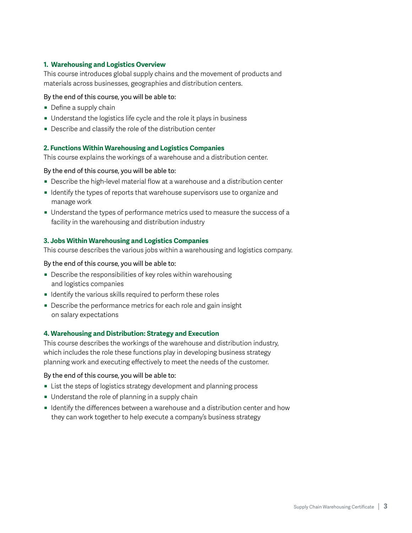# <span id="page-2-0"></span>**1. Warehousing and Logistics Overview**

This course introduces global supply chains and the movement of products and materials across businesses, geographies and distribution centers.

# By the end of this course, you will be able to:

- $\blacksquare$  Define a supply chain
- Understand the logistics life cycle and the role it plays in business
- $\blacksquare$  Describe and classify the role of the distribution center

# **2. Functions Within Warehousing and Logistics Companies**

This course explains the workings of a warehouse and a distribution center.

# By the end of this course, you will be able to:

- Describe the high-level material flow at a warehouse and a distribution center
- **I** Identify the types of reports that warehouse supervisors use to organize and manage work
- Understand the types of performance metrics used to measure the success of a facility in the warehousing and distribution industry

# **3. Jobs Within Warehousing and Logistics Companies**

This course describes the various jobs within a warehousing and logistics company.

# By the end of this course, you will be able to:

- Describe the responsibilities of key roles within warehousing and logistics companies
- $\blacksquare$  Identify the various skills required to perform these roles
- Describe the performance metrics for each role and gain insight on salary expectations

# **4. Warehousing and Distribution: Strategy and Execution**

This course describes the workings of the warehouse and distribution industry, which includes the role these functions play in developing business strategy planning work and executing effectively to meet the needs of the customer.

- **EXECT** List the steps of logistics strategy development and planning process
- Understand the role of planning in a supply chain
- **I** Identify the differences between a warehouse and a distribution center and how they can work together to help execute a company's business strategy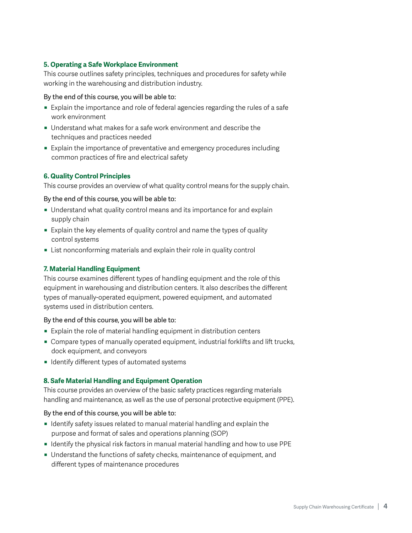# <span id="page-3-0"></span>**5. Operating a Safe Workplace Environment**

This course outlines safety principles, techniques and procedures for safety while working in the warehousing and distribution industry.

## By the end of this course, you will be able to:

- Explain the importance and role of federal agencies regarding the rules of a safe work environment
- Understand what makes for a safe work environment and describe the techniques and practices needed
- Explain the importance of preventative and emergency procedures including common practices of fire and electrical safety

# **6. Quality Control Principles**

This course provides an overview of what quality control means for the supply chain.

#### By the end of this course, you will be able to:

- Understand what quality control means and its importance for and explain supply chain
- Explain the key elements of quality control and name the types of quality control systems
- $\blacksquare$  List nonconforming materials and explain their role in quality control

# **7. Material Handling Equipment**

This course examines different types of handling equipment and the role of this equipment in warehousing and distribution centers. It also describes the different types of manually-operated equipment, powered equipment, and automated systems used in distribution centers.

# By the end of this course, you will be able to:

- Explain the role of material handling equipment in distribution centers
- Compare types of manually operated equipment, industrial forklifts and lift trucks, dock equipment, and conveyors
- $\blacksquare$  Identify different types of automated systems

# **8. Safe Material Handling and Equipment Operation**

This course provides an overview of the basic safety practices regarding materials handling and maintenance, as well as the use of personal protective equipment (PPE).

- $\blacksquare$  Identify safety issues related to manual material handling and explain the purpose and format of sales and operations planning (SOP)
- **I** Identify the physical risk factors in manual material handling and how to use PPE
- Understand the functions of safety checks, maintenance of equipment, and different types of maintenance procedures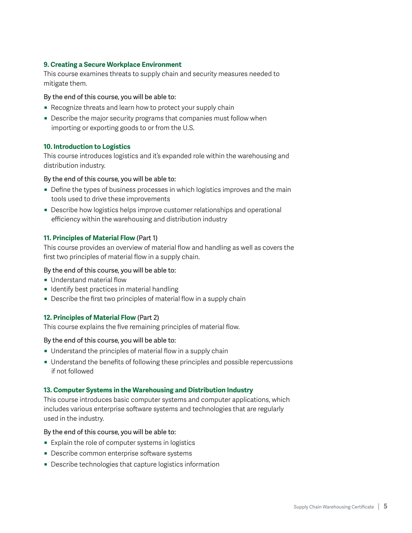# <span id="page-4-0"></span>**9. Creating a Secure Workplace Environment**

This course examines threats to supply chain and security measures needed to mitigate them.

# By the end of this course, you will be able to:

- Recognize threats and learn how to protect your supply chain
- Describe the major security programs that companies must follow when importing or exporting goods to or from the U.S.

# **10. Introduction to Logistics**

This course introduces logistics and it's expanded role within the warehousing and distribution industry.

# By the end of this course, you will be able to:

- Define the types of business processes in which logistics improves and the main tools used to drive these improvements
- Describe how logistics helps improve customer relationships and operational efficiency within the warehousing and distribution industry

# **11. Principles of Material Flow** (Part 1)

This course provides an overview of material flow and handling as well as covers the first two principles of material flow in a supply chain.

# By the end of this course, you will be able to:

- **Understand material flow**
- $\blacksquare$  Identify best practices in material handling
- $\blacksquare$  Describe the first two principles of material flow in a supply chain

# **12. Principles of Material Flow** (Part 2)

This course explains the five remaining principles of material flow.

# By the end of this course, you will be able to:

- $\blacksquare$  Understand the principles of material flow in a supply chain
- Understand the benefits of following these principles and possible repercussions if not followed

# **13. Computer Systems in the Warehousing and Distribution Industry**

This course introduces basic computer systems and computer applications, which includes various enterprise software systems and technologies that are regularly used in the industry.

- $\blacksquare$  Explain the role of computer systems in logistics
- **Describe common enterprise software systems**
- Describe technologies that capture logistics information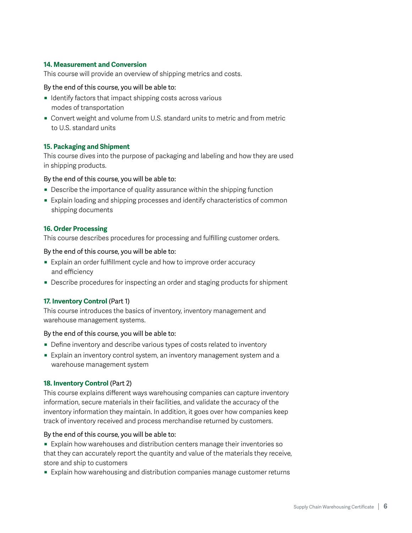# <span id="page-5-0"></span>**14. Measurement and Conversion**

This course will provide an overview of shipping metrics and costs.

#### By the end of this course, you will be able to:

- $\blacksquare$  Identify factors that impact shipping costs across various modes of transportation
- Convert weight and volume from U.S. standard units to metric and from metric to U.S. standard units

# **15. Packaging and Shipment**

This course dives into the purpose of packaging and labeling and how they are used in shipping products.

# By the end of this course, you will be able to:

- $\blacksquare$  Describe the importance of quality assurance within the shipping function
- Explain loading and shipping processes and identify characteristics of common shipping documents

# **16. Order Processing**

This course describes procedures for processing and fulfilling customer orders.

#### By the end of this course, you will be able to:

- Explain an order fulfillment cycle and how to improve order accuracy and efficiency
- Describe procedures for inspecting an order and staging products for shipment

# **17. Inventory Control** (Part 1)

This course introduces the basics of inventory, inventory management and warehouse management systems.

#### By the end of this course, you will be able to:

- Define inventory and describe various types of costs related to inventory
- Explain an inventory control system, an inventory management system and a warehouse management system

# **18. Inventory Control** (Part 2)

This course explains different ways warehousing companies can capture inventory information, secure materials in their facilities, and validate the accuracy of the inventory information they maintain. In addition, it goes over how companies keep track of inventory received and process merchandise returned by customers.

# By the end of this course, you will be able to:

**Explain how warehouses and distribution centers manage their inventories so** that they can accurately report the quantity and value of the materials they receive, store and ship to customers

**Explain how warehousing and distribution companies manage customer returns**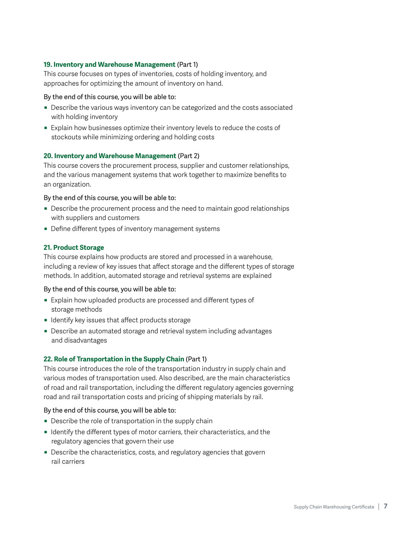# <span id="page-6-0"></span>**19. Inventory and Warehouse Management** (Part 1)

This course focuses on types of inventories, costs of holding inventory, and approaches for optimizing the amount of inventory on hand.

# By the end of this course, you will be able to:

- Describe the various ways inventory can be categorized and the costs associated with holding inventory
- **Explain how businesses optimize their inventory levels to reduce the costs of** stockouts while minimizing ordering and holding costs

# **20. Inventory and Warehouse Management** (Part 2)

This course covers the procurement process, supplier and customer relationships, and the various management systems that work together to maximize benefits to an organization.

# By the end of this course, you will be able to:

- Describe the procurement process and the need to maintain good relationships with suppliers and customers
- Define different types of inventory management systems

# **21. Product Storage**

This course explains how products are stored and processed in a warehouse, including a review of key issues that affect storage and the different types of storage methods. In addition, automated storage and retrieval systems are explained

# By the end of this course, you will be able to:

- Explain how uploaded products are processed and different types of storage methods
- **I** Identify key issues that affect products storage
- Describe an automated storage and retrieval system including advantages and disadvantages

# **22. Role of Transportation in the Supply Chain** (Part 1)

This course introduces the role of the transportation industry in supply chain and various modes of transportation used. Also described, are the main characteristics of road and rail transportation, including the different regulatory agencies governing road and rail transportation costs and pricing of shipping materials by rail.

- $\blacksquare$  Describe the role of transportation in the supply chain
- **IDENTIFY 19 Identify the different types of motor carriers, their characteristics, and the** regulatory agencies that govern their use
- Describe the characteristics, costs, and regulatory agencies that govern rail carriers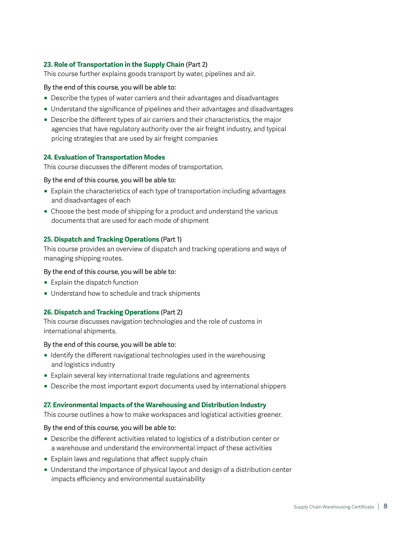# <span id="page-7-0"></span>**23. Role of Transportation in the Supply Chain** (Part 2)

This course further explains goods transport by water, pipelines and air.

# By the end of this course, you will be able to:

- Describe the types of water carriers and their advantages and disadvantages
- Understand the significance of pipelines and their advantages and disadvantages
- Describe the different types of air carriers and their characteristics, the major agencies that have regulatory authority over the air freight industry, and typical pricing strategies that are used by air freight companies

#### **24. Evaluation of Transportation Modes**

This course discusses the different modes of transportation.

#### By the end of this course, you will be able to:

- Explain the characteristics of each type of transportation including advantages and disadvantages of each
- Choose the best mode of shipping for a product and understand the various documents that are used for each mode of shipment

#### **25. Dispatch and Tracking Operations** (Part 1)

This course provides an overview of dispatch and tracking operations and ways of managing shipping routes.

#### By the end of this course, you will be able to:

- $\blacksquare$  Explain the dispatch function
- $\blacksquare$  Understand how to schedule and track shipments

#### **26. Dispatch and Tracking Operations** (Part 2)

This course discusses navigation technologies and the role of customs in international shipments.

By the end of this course, you will be able to:

- **I** Identify the different navigational technologies used in the warehousing and logistics industry
- Explain several key international trade regulations and agreements
- Describe the most important export documents used by international shippers

#### **27. Environmental Impacts of the Warehousing and Distribution Industry**

This course outlines a how to make workspaces and logistical activities greener.

- Describe the different activities related to logistics of a distribution center or a warehouse and understand the environmental impact of these activities
- $\blacksquare$  Explain laws and regulations that affect supply chain
- Understand the importance of physical layout and design of a distribution center impacts efficiency and environmental sustainability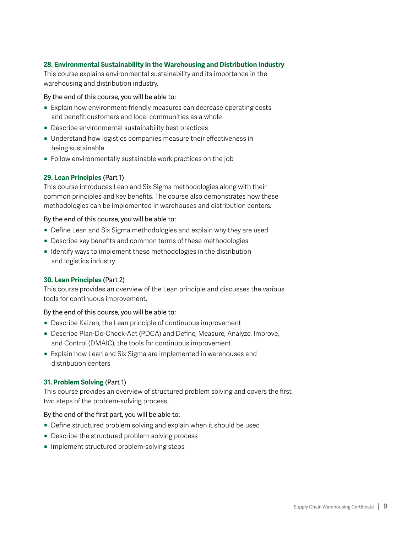# <span id="page-8-0"></span>**28. Environmental Sustainability in the Warehousing and Distribution Industry**

This course explains environmental sustainability and its importance in the warehousing and distribution industry.

# By the end of this course, you will be able to:

- **Explain how environment-friendly measures can decrease operating costs** and benefit customers and local communities as a whole
- $\blacksquare$  Describe environmental sustainability best practices
- Understand how logistics companies measure their effectiveness in being sustainable
- **Follow environmentally sustainable work practices on the job**

# **29. Lean Principles** (Part 1)

This course introduces Lean and Six Sigma methodologies along with their common principles and key benefits. The course also demonstrates how these methodologies can be implemented in warehouses and distribution centers.

#### By the end of this course, you will be able to:

- Define Lean and Six Sigma methodologies and explain why they are used
- Describe key benefits and common terms of these methodologies
- **I** Identify ways to implement these methodologies in the distribution and logistics industry

# **30. Lean Principles** (Part 2)

This course provides an overview of the Lean principle and discusses the various tools for continuous improvement.

#### By the end of this course, you will be able to:

- Describe Kaizen, the Lean principle of continuous improvement
- Describe Plan-Do-Check-Act (PDCA) and Define, Measure, Analyze, Improve, and Control (DMAIC), the tools for continuous improvement
- Explain how Lean and Six Sigma are implemented in warehouses and distribution centers

# **31. Problem Solving** (Part 1)

This course provides an overview of structured problem solving and covers the first two steps of the problem-solving process.

#### By the end of the first part, you will be able to:

- Define structured problem solving and explain when it should be used
- Describe the structured problem-solving process
- **Implement structured problem-solving steps**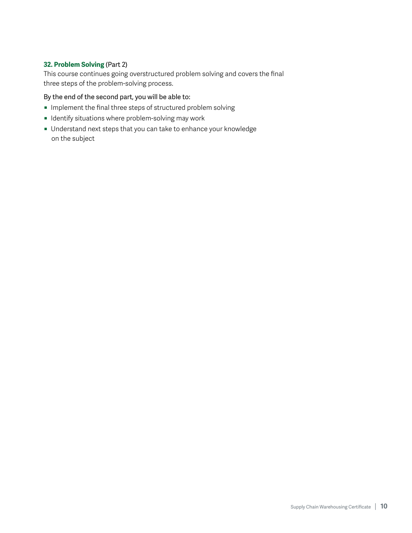# <span id="page-9-0"></span>**32. Problem Solving** (Part 2)

This course continues going overstructured problem solving and covers the final three steps of the problem-solving process.

By the end of the second part, you will be able to:

- $\blacksquare$  Implement the final three steps of structured problem solving
- $\blacksquare$  Identify situations where problem-solving may work
- Understand next steps that you can take to enhance your knowledge on the subject